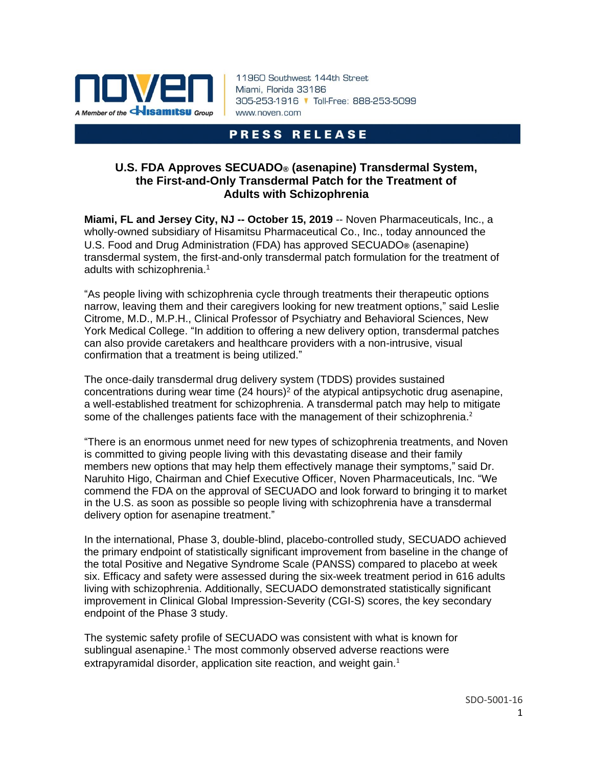

11960 Southwest 144th Street Miami, Florida 33186 www.noven.com

# **PRESS RELEASE**

## **U.S. FDA Approves SECUADO® (asenapine) Transdermal System, the First-and-Only Transdermal Patch for the Treatment of Adults with Schizophrenia**

**Miami, FL and Jersey City, NJ -- October 15, 2019** -- Noven Pharmaceuticals, Inc., a wholly-owned subsidiary of Hisamitsu Pharmaceutical Co., Inc., today announced the U.S. Food and Drug Administration (FDA) has approved SECUADO**®** (asenapine) transdermal system, the first-and-only transdermal patch formulation for the treatment of adults with schizophrenia.<sup>1</sup>

"As people living with schizophrenia cycle through treatments their therapeutic options narrow, leaving them and their caregivers looking for new treatment options," said Leslie Citrome, M.D., M.P.H., Clinical Professor of Psychiatry and Behavioral Sciences, New York Medical College. "In addition to offering a new delivery option, transdermal patches can also provide caretakers and healthcare providers with a non-intrusive, visual confirmation that a treatment is being utilized."

The once-daily transdermal drug delivery system (TDDS) provides sustained concentrations during wear time  $(24 \text{ hours})^2$  of the atypical antipsychotic drug asenapine, a well-established treatment for schizophrenia. A transdermal patch may help to mitigate some of the challenges patients face with the management of their schizophrenia.<sup>2</sup>

"There is an enormous unmet need for new types of schizophrenia treatments, and Noven is committed to giving people living with this devastating disease and their family members new options that may help them effectively manage their symptoms," said Dr. Naruhito Higo, Chairman and Chief Executive Officer, Noven Pharmaceuticals, Inc. "We commend the FDA on the approval of SECUADO and look forward to bringing it to market in the U.S. as soon as possible so people living with schizophrenia have a transdermal delivery option for asenapine treatment."

In the international, Phase 3, double-blind, placebo-controlled study, SECUADO achieved the primary endpoint of statistically significant improvement from baseline in the change of the total Positive and Negative Syndrome Scale (PANSS) compared to placebo at week six. Efficacy and safety were assessed during the six-week treatment period in 616 adults living with schizophrenia. Additionally, SECUADO demonstrated statistically significant improvement in Clinical Global Impression-Severity (CGI-S) scores, the key secondary endpoint of the Phase 3 study.

The systemic safety profile of SECUADO was consistent with what is known for sublingual asenapine.<sup>1</sup> The most commonly observed adverse reactions were extrapyramidal disorder, application site reaction, and weight gain.<sup>1</sup>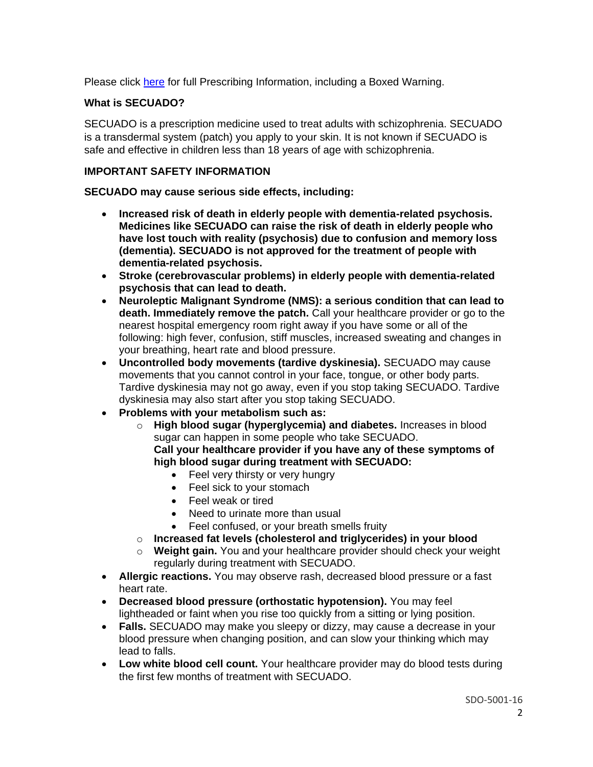Please click [here](https://dailymed.nlm.nih.gov/dailymed/drugInfo.cfm?setid=685eaf44-5944-4f38-afba-0a4fc0b3462b) for full Prescribing Information, including a Boxed Warning.

## **What is SECUADO?**

SECUADO is a prescription medicine used to treat adults with schizophrenia. SECUADO is a transdermal system (patch) you apply to your skin. It is not known if SECUADO is safe and effective in children less than 18 years of age with schizophrenia.

## **IMPORTANT SAFETY INFORMATION**

**SECUADO may cause serious side effects, including:**

- **Increased risk of death in elderly people with dementia-related psychosis. Medicines like SECUADO can raise the risk of death in elderly people who have lost touch with reality (psychosis) due to confusion and memory loss (dementia). SECUADO is not approved for the treatment of people with dementia-related psychosis.**
- **Stroke (cerebrovascular problems) in elderly people with dementia-related psychosis that can lead to death.**
- **Neuroleptic Malignant Syndrome (NMS): a serious condition that can lead to death. Immediately remove the patch.** Call your healthcare provider or go to the nearest hospital emergency room right away if you have some or all of the following: high fever, confusion, stiff muscles, increased sweating and changes in your breathing, heart rate and blood pressure.
- **Uncontrolled body movements (tardive dyskinesia).** SECUADO may cause movements that you cannot control in your face, tongue, or other body parts. Tardive dyskinesia may not go away, even if you stop taking SECUADO. Tardive dyskinesia may also start after you stop taking SECUADO.
- **Problems with your metabolism such as:**
	- o **High blood sugar (hyperglycemia) and diabetes.** Increases in blood sugar can happen in some people who take SECUADO.

**Call your healthcare provider if you have any of these symptoms of high blood sugar during treatment with SECUADO:**

- Feel very thirsty or very hungry
- Feel sick to your stomach
- Feel weak or tired
- Need to urinate more than usual
- Feel confused, or your breath smells fruity
- o **Increased fat levels (cholesterol and triglycerides) in your blood**
- o **Weight gain.** You and your healthcare provider should check your weight regularly during treatment with SECUADO.
- **Allergic reactions.** You may observe rash, decreased blood pressure or a fast heart rate.
- **Decreased blood pressure (orthostatic hypotension).** You may feel lightheaded or faint when you rise too quickly from a sitting or lying position.
- **Falls.** SECUADO may make you sleepy or dizzy, may cause a decrease in your blood pressure when changing position, and can slow your thinking which may lead to falls.
- **Low white blood cell count.** Your healthcare provider may do blood tests during the first few months of treatment with SECUADO.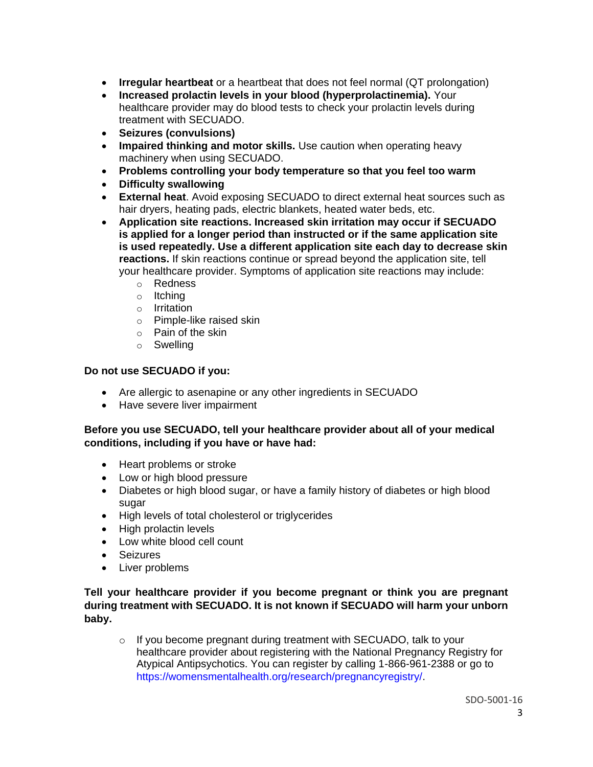- **Irregular heartbeat** or a heartbeat that does not feel normal (QT prolongation)
- **Increased prolactin levels in your blood (hyperprolactinemia).** Your healthcare provider may do blood tests to check your prolactin levels during treatment with SECUADO.
- **Seizures (convulsions)**
- **Impaired thinking and motor skills.** Use caution when operating heavy machinery when using SECUADO.
- **Problems controlling your body temperature so that you feel too warm**
- **Difficulty swallowing**
- **External heat**. Avoid exposing SECUADO to direct external heat sources such as hair dryers, heating pads, electric blankets, heated water beds, etc.
- **Application site reactions. Increased skin irritation may occur if SECUADO is applied for a longer period than instructed or if the same application site is used repeatedly. Use a different application site each day to decrease skin reactions.** If skin reactions continue or spread beyond the application site, tell your healthcare provider. Symptoms of application site reactions may include:
	- o Redness
	- o Itching
	- o Irritation
	- o Pimple-like raised skin
	- o Pain of the skin
	- o Swelling

### **Do not use SECUADO if you:**

- Are allergic to asenapine or any other ingredients in SECUADO
- Have severe liver impairment

### **Before you use SECUADO, tell your healthcare provider about all of your medical conditions, including if you have or have had:**

- Heart problems or stroke
- Low or high blood pressure
- Diabetes or high blood sugar, or have a family history of diabetes or high blood sugar
- High levels of total cholesterol or triglycerides
- High prolactin levels
- Low white blood cell count
- Seizures
- Liver problems

## **Tell your healthcare provider if you become pregnant or think you are pregnant during treatment with SECUADO. It is not known if SECUADO will harm your unborn baby.**

o If you become pregnant during treatment with SECUADO, talk to your healthcare provider about registering with the National Pregnancy Registry for Atypical Antipsychotics. You can register by calling 1-866-961-2388 or go to https://womensmentalhealth.org/research/pregnancyregistry/.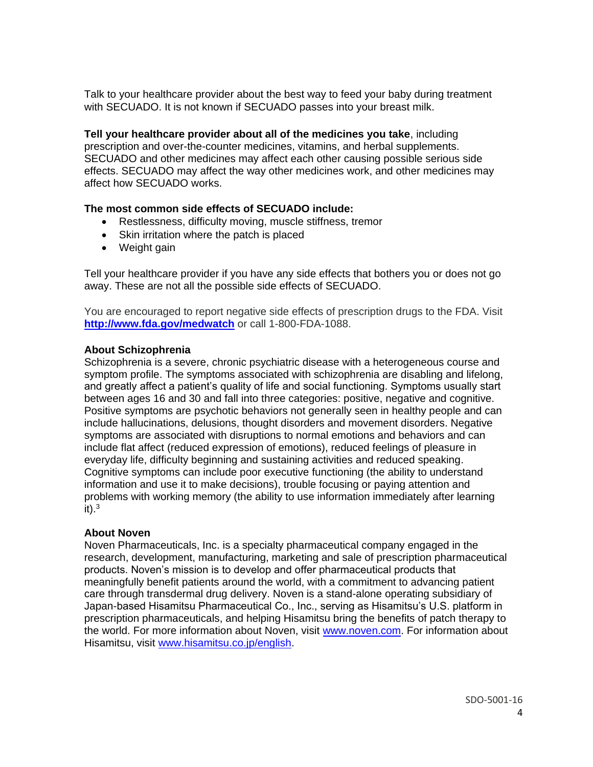Talk to your healthcare provider about the best way to feed your baby during treatment with SECUADO. It is not known if SECUADO passes into your breast milk.

**Tell your healthcare provider about all of the medicines you take**, including prescription and over-the-counter medicines, vitamins, and herbal supplements. SECUADO and other medicines may affect each other causing possible serious side effects. SECUADO may affect the way other medicines work, and other medicines may affect how SECUADO works.

#### **The most common side effects of SECUADO include:**

- Restlessness, difficulty moving, muscle stiffness, tremor
- Skin irritation where the patch is placed
- Weight gain

Tell your healthcare provider if you have any side effects that bothers you or does not go away. These are not all the possible side effects of SECUADO.

You are encouraged to report negative side effects of prescription drugs to the FDA. Visit **<http://www.fda.gov/medwatch>** or call 1-800-FDA-1088.

#### **About Schizophrenia**

Schizophrenia is a severe, chronic psychiatric disease with a heterogeneous course and symptom profile. The symptoms associated with schizophrenia are disabling and lifelong, and greatly affect a patient's quality of life and social functioning. Symptoms usually start between ages 16 and 30 and fall into three categories: positive, negative and cognitive. Positive symptoms are psychotic behaviors not generally seen in healthy people and can include hallucinations, delusions, thought disorders and movement disorders. Negative symptoms are associated with disruptions to normal emotions and behaviors and can include flat affect (reduced expression of emotions), reduced feelings of pleasure in everyday life, difficulty beginning and sustaining activities and reduced speaking. Cognitive symptoms can include poor executive functioning (the ability to understand information and use it to make decisions), trouble focusing or paying attention and problems with working memory (the ability to use information immediately after learning it). $3$ 

#### **About Noven**

Noven Pharmaceuticals, Inc. is a specialty pharmaceutical company engaged in the research, development, manufacturing, marketing and sale of prescription pharmaceutical products. Noven's mission is to develop and offer pharmaceutical products that meaningfully benefit patients around the world, with a commitment to advancing patient care through transdermal drug delivery. Noven is a stand-alone operating subsidiary of Japan-based Hisamitsu Pharmaceutical Co., Inc., serving as Hisamitsu's U.S. platform in prescription pharmaceuticals, and helping Hisamitsu bring the benefits of patch therapy to the world. For more information about Noven, visit [www.noven.com.](http://www.noven.com/) For information about Hisamitsu, visit [www.hisamitsu.co.jp/english.](http://www.hisamitsu.co.jp/english)